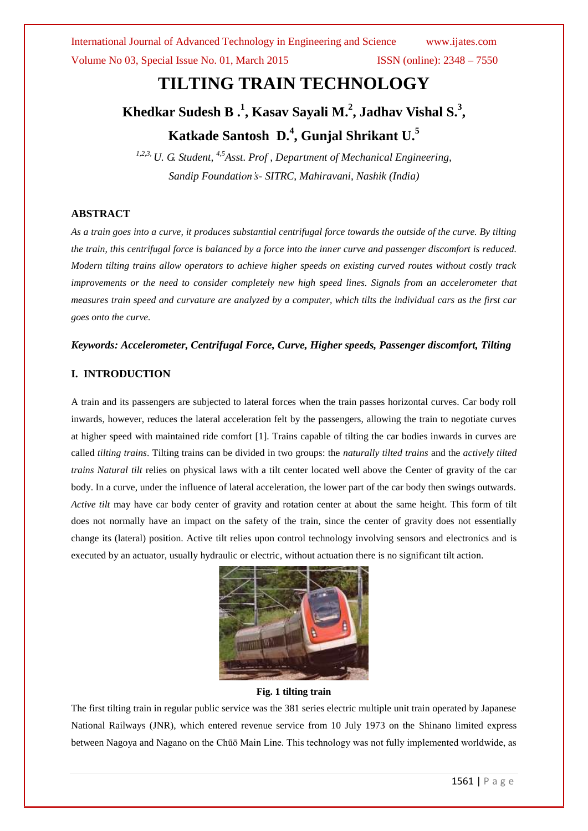International Journal of Advanced Technology in Engineering and Science www.ijates.com Volume No 03, Special Issue No. 01, March 2015 ISSN (online): 2348 – 7550

# **TILTING TRAIN TECHNOLOGY**

# **Khedkar Sudesh B . 1 , Kasav Sayali M. 2 , Jadhav Vishal S. 3 , Katkade Santosh D. 4 , Gunjal Shrikant U.<sup>5</sup>**

*1,2,3, U. G. Student, 4,5Asst. Prof , Department of Mechanical Engineering, Sandip Foundation's- SITRC, Mahiravani, Nashik (India)*

### **ABSTRACT**

*As a train goes into a curve, it produces substantial centrifugal force towards the outside of the curve. By tilting the train, this centrifugal force is balanced by a force into the inner curve and passenger discomfort is reduced. Modern tilting trains allow operators to achieve higher speeds on existing curved routes without costly track improvements or the need to consider completely new high speed lines. Signals from an accelerometer that measures train speed and curvature are analyzed by a computer, which tilts the individual cars as the first car goes onto the curve.* 

### *Keywords: Accelerometer, Centrifugal Force, Curve, Higher speeds, Passenger discomfort, Tilting*

### **I. INTRODUCTION**

A train and its passengers are subjected to lateral forces when the train passes horizontal curves. Car body roll inwards, however, reduces the lateral acceleration felt by the passengers, allowing the train to negotiate curves at higher speed with maintained ride comfort [1]. Trains capable of tilting the car bodies inwards in curves are called *tilting trains*. Tilting trains can be divided in two groups: the *naturally tilted trains* and the *actively tilted trains Natural tilt* relies on physical laws with a tilt center located well above the Center of gravity of the car body. In a curve, under the influence of lateral acceleration, the lower part of the car body then swings outwards. *Active tilt* may have car body center of gravity and rotation center at about the same height. This form of tilt does not normally have an impact on the safety of the train, since the center of gravity does not essentially change its (lateral) position. Active tilt relies upon control technology involving sensors and electronics and is executed by an actuator, usually hydraulic or electric, without actuation there is no significant tilt action.



### **Fig. 1 tilting train**

The first tilting train in regular public service was the 381 series electric multiple unit train operated by Japanese National Railways (JNR), which entered revenue service from 10 July 1973 on the Shinano limited express between Nagoya and Nagano on the Chūō Main Line. This technology was not fully implemented worldwide, as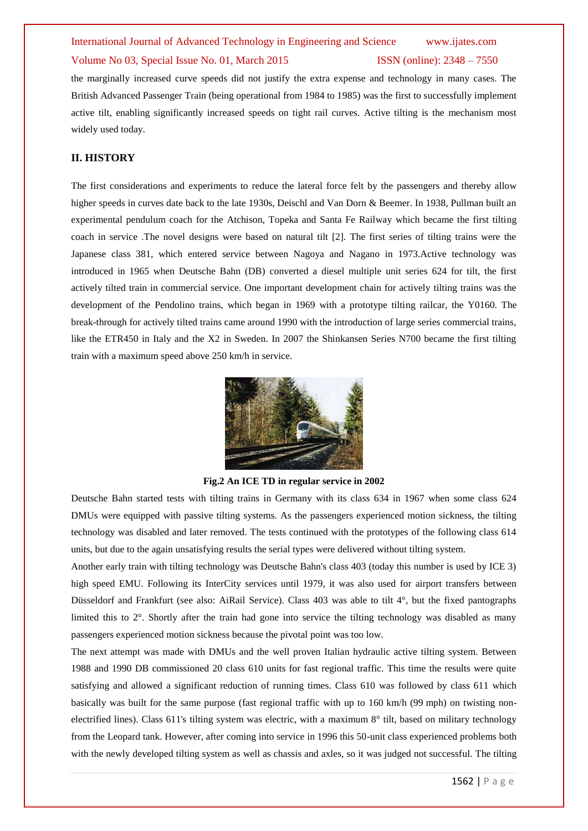## International Journal of Advanced Technology in Engineering and Science www.ijates.com Volume No 03, Special Issue No. 01, March 2015 ISSN (online): 2348 – 7550

the marginally increased curve speeds did not justify the extra expense and technology in many cases. The British Advanced Passenger Train (being operational from 1984 to 1985) was the first to successfully implement active tilt, enabling significantly increased speeds on tight rail curves. Active tilting is the mechanism most widely used today.

### **II. HISTORY**

The first considerations and experiments to reduce the lateral force felt by the passengers and thereby allow higher speeds in curves date back to the late 1930s, Deischl and Van Dorn & Beemer. In 1938, Pullman built an experimental pendulum coach for the Atchison, Topeka and Santa Fe Railway which became the first tilting coach in service .The novel designs were based on natural tilt [2]. The first series of tilting trains were the Japanese class 381, which entered service between Nagoya and Nagano in 1973.Active technology was introduced in 1965 when Deutsche Bahn (DB) converted a diesel multiple unit series 624 for tilt, the first actively tilted train in commercial service. One important development chain for actively tilting trains was the development of the Pendolino trains, which began in 1969 with a prototype tilting railcar, the Y0160. The break-through for actively tilted trains came around 1990 with the introduction of large series commercial trains, like the ETR450 in Italy and the X2 in Sweden. In 2007 the Shinkansen Series N700 became the first tilting train with a maximum speed above 250 km/h in service.



**Fig.2 An ICE TD in regular service in 2002**

Deutsche Bahn started tests with tilting trains in Germany with its class 634 in 1967 when some class 624 DMUs were equipped with passive tilting systems. As the passengers experienced motion sickness, the tilting technology was disabled and later removed. The tests continued with the prototypes of the following class 614 units, but due to the again unsatisfying results the serial types were delivered without tilting system.

Another early train with tilting technology was Deutsche Bahn's class 403 (today this number is used by ICE 3) high speed EMU. Following its InterCity services until 1979, it was also used for airport transfers between Düsseldorf and Frankfurt (see also: AiRail Service). Class 403 was able to tilt 4°, but the fixed pantographs limited this to 2°. Shortly after the train had gone into service the tilting technology was disabled as many passengers experienced motion sickness because the pivotal point was too low.

The next attempt was made with DMUs and the well proven Italian hydraulic active tilting system. Between 1988 and 1990 DB commissioned 20 class 610 units for fast regional traffic. This time the results were quite satisfying and allowed a significant reduction of running times. Class 610 was followed by class 611 which basically was built for the same purpose (fast regional traffic with up to 160 km/h (99 mph) on twisting nonelectrified lines). Class 611's tilting system was electric, with a maximum 8° tilt, based on military technology from the Leopard tank. However, after coming into service in 1996 this 50-unit class experienced problems both with the newly developed tilting system as well as chassis and axles, so it was judged not successful. The tilting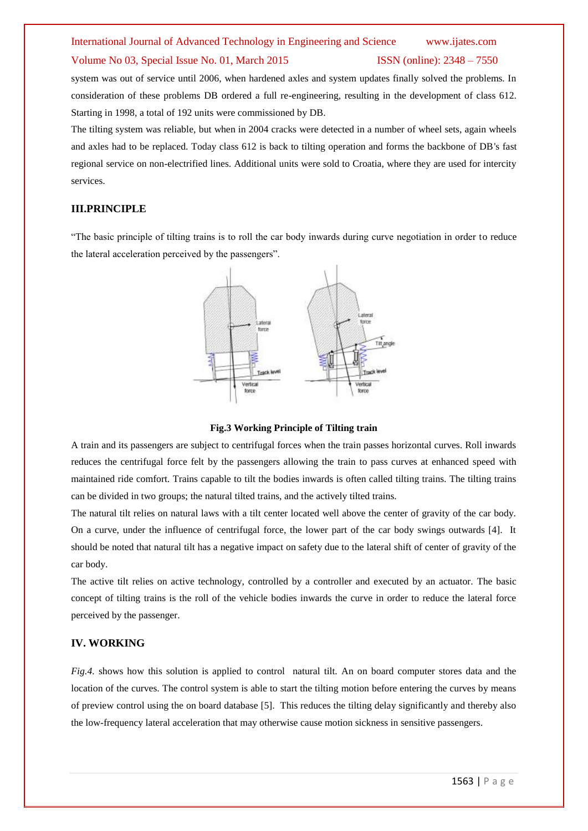### International Journal of Advanced Technology in Engineering and Science www.ijates.com Volume No 03, Special Issue No. 01, March 2015 ISSN (online): 2348 – 7550

system was out of service until 2006, when hardened axles and system updates finally solved the problems. In consideration of these problems DB ordered a full re-engineering, resulting in the development of class 612. Starting in 1998, a total of 192 units were commissioned by DB.

The tilting system was reliable, but when in 2004 cracks were detected in a number of wheel sets, again wheels and axles had to be replaced. Today class 612 is back to tilting operation and forms the backbone of DB's fast regional service on non-electrified lines. Additional units were sold to Croatia, where they are used for intercity services.

### **III.PRINCIPLE**

"The basic principle of tilting trains is to roll the car body inwards during curve negotiation in order to reduce the lateral acceleration perceived by the passengers".



### **Fig.3 Working Principle of Tilting train**

A train and its passengers are subject to centrifugal forces when the train passes horizontal curves. Roll inwards reduces the centrifugal force felt by the passengers allowing the train to pass curves at enhanced speed with maintained ride comfort. Trains capable to tilt the bodies inwards is often called tilting trains. The tilting trains can be divided in two groups; the natural tilted trains, and the actively tilted trains.

The natural tilt relies on natural laws with a tilt center located well above the center of gravity of the car body. On a curve, under the influence of centrifugal force, the lower part of the car body swings outwards [4]. It should be noted that natural tilt has a negative impact on safety due to the lateral shift of center of gravity of the car body.

The active tilt relies on active technology, controlled by a controller and executed by an actuator. The basic concept of tilting trains is the roll of the vehicle bodies inwards the curve in order to reduce the lateral force perceived by the passenger.

### **IV. WORKING**

*Fig.4.* shows how this solution is applied to control natural tilt. An on board computer stores data and the location of the curves. The control system is able to start the tilting motion before entering the curves by means of preview control using the on board database [5]. This reduces the tilting delay significantly and thereby also the low-frequency lateral acceleration that may otherwise cause motion sickness in sensitive passengers.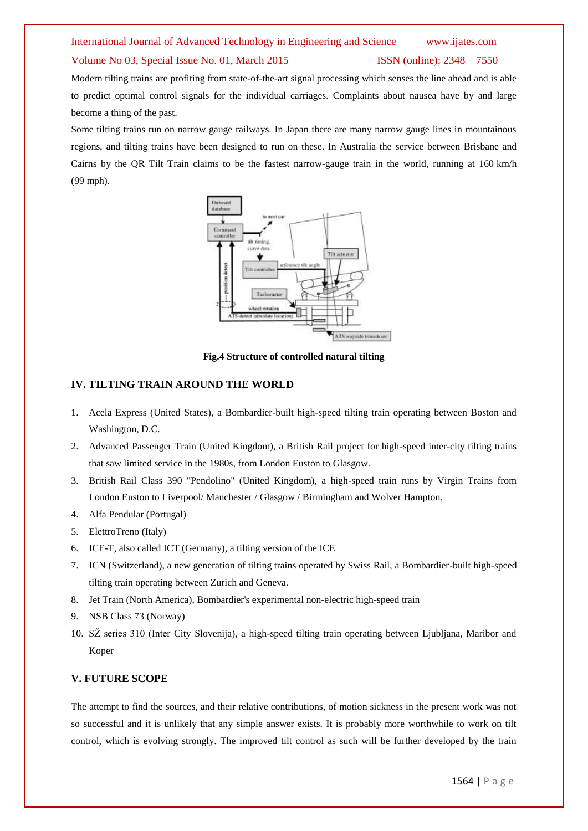# International Journal of Advanced Technology in Engineering and Science www.ijates.com

### Volume No 03, Special Issue No. 01, March 2015 ISSN (online): 2348 – 7550

Modern tilting trains are profiting from state-of-the-art signal processing which senses the line ahead and is able to predict optimal control signals for the individual carriages. Complaints about nausea have by and large become a thing of the past.

Some tilting trains run on narrow gauge railways. In Japan there are many narrow gauge lines in mountainous regions, and tilting trains have been designed to run on these. In Australia the service between Brisbane and Cairns by the QR Tilt Train claims to be the fastest narrow-gauge train in the world, running at 160 km/h (99 mph).



**Fig.4 Structure of controlled natural tilting**

### **IV. TILTING TRAIN AROUND THE WORLD**

- 1. Acela Express (United States), a Bombardier-built high-speed tilting train operating between Boston and Washington, D.C.
- 2. Advanced Passenger Train (United Kingdom), a British Rail project for high-speed inter-city tilting trains that saw limited service in the 1980s, from London Euston to Glasgow.
- 3. British Rail Class 390 "Pendolino" (United Kingdom), a high-speed train runs by Virgin Trains from London Euston to Liverpool/ Manchester / Glasgow / Birmingham and Wolver Hampton.
- 4. Alfa Pendular (Portugal)
- 5. ElettroTreno (Italy)
- 6. ICE-T, also called ICT (Germany), a tilting version of the ICE
- 7. ICN (Switzerland), a new generation of tilting trains operated by Swiss Rail, a Bombardier-built high-speed tilting train operating between Zurich and Geneva.
- 8. Jet Train (North America), Bombardier's experimental non-electric high-speed train
- 9. NSB Class 73 (Norway)
- 10. SŽ series 310 (Inter City Slovenija), a high-speed tilting train operating between Ljubljana, Maribor and Koper

### **V. FUTURE SCOPE**

The attempt to find the sources, and their relative contributions, of motion sickness in the present work was not so successful and it is unlikely that any simple answer exists. It is probably more worthwhile to work on tilt control, which is evolving strongly. The improved tilt control as such will be further developed by the train